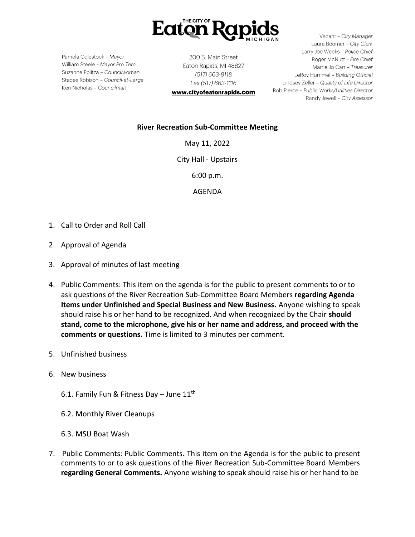

Pamela Colestock - Mayor William Steele - Mayor Pro Tem Suzanne Politza - Councilwoman Stacee Robison - Council-at-Large Ken Nicholas - Councilman

200 S. Main Street Eaton Rapids, MI 48827 (517) 663-8118 Fax (517) 663-1116 www.cityofeatonrapids.com

Vacant - City Manager Laura Boomer - City Clerk Larry Joe Weeks - Police Chief Roger McNutt - Fire Chief Marrie Jo Carr - Treasurer LeRoy Hummel - Building Official Lindsey Zeller - Quality of Life Director Rob Pierce - Public Works/Utilities Director Randy Jewell - City Assessor

## **River Recreation Sub-Committee Meeting**

May 11, 2022

City Hall - Upstairs

6:00 p.m.

AGENDA

- 1. Call to Order and Roll Call
- 2. Approval of Agenda
- 3. Approval of minutes of last meeting
- 4. Public Comments: This item on the agenda is for the public to present comments to or to ask questions of the River Recreation Sub-Committee Board Members **regarding Agenda Items under Unfinished and Special Business and New Business.** Anyone wishing to speak should raise his or her hand to be recognized. And when recognized by the Chair **should stand, come to the microphone, give his or her name and address, and proceed with the comments or questions.** Time is limited to 3 minutes per comment.
- 5. Unfinished business
- 6. New business
	- 6.1. Family Fun & Fitness Day June  $11^{\text{th}}$
	- 6.2. Monthly River Cleanups
	- 6.3. MSU Boat Wash
- 7. Public Comments: Public Comments. This item on the Agenda is for the public to present comments to or to ask questions of the River Recreation Sub-Committee Board Members **regarding General Comments.** Anyone wishing to speak should raise his or her hand to be